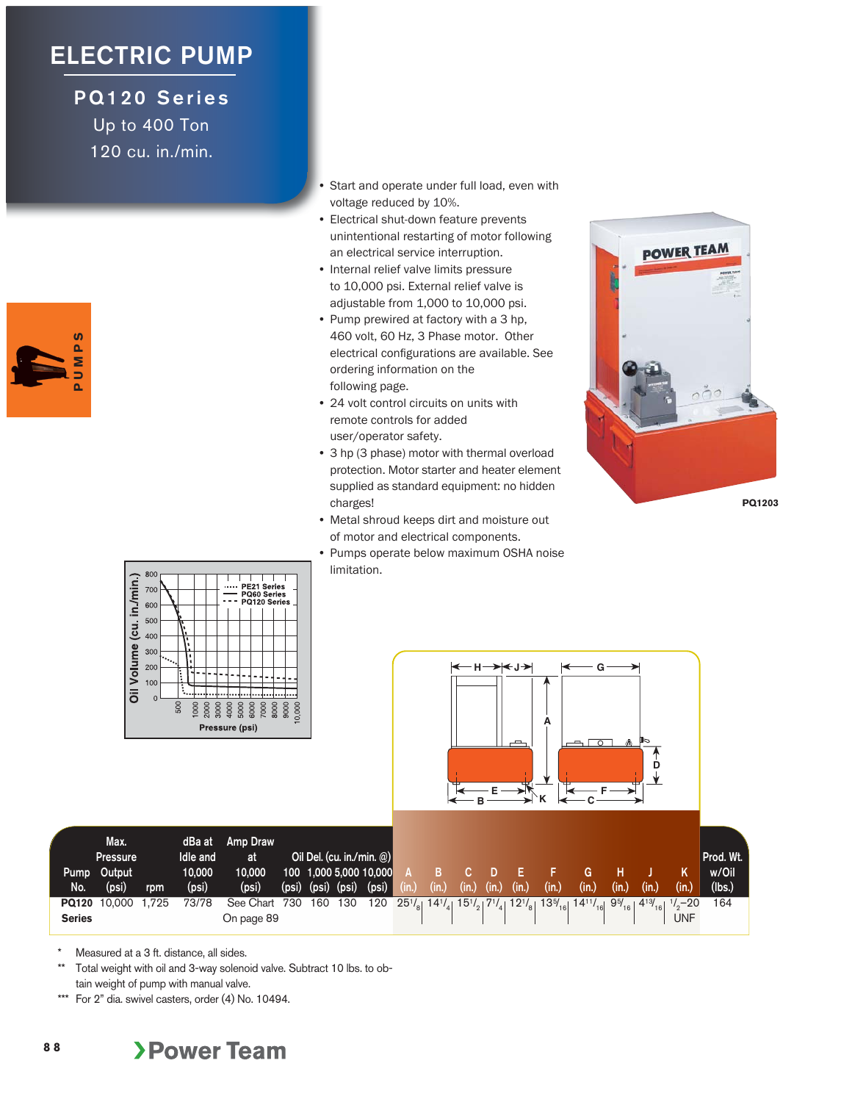## **ELECTRIC PUMP**

**PQ120 Series** Up to 400 Ton 120 cu. in./min.



- Start and operate under full load, even with voltage reduced by 10%.
- Electrical shut-down feature prevents unintentional restarting of motor following an electrical service interruption.
- Internal relief valve limits pressure to 10,000 psi. External relief valve is adjustable from 1,000 to 10,000 psi.
- Pump prewired at factory with a 3 hp, 460 volt, 60 Hz, 3 Phase motor. Other electrical configurations are available. See ordering information on the following page.
- 24 volt control circuits on units with remote controls for added user/operator safety.
- 3 hp (3 phase) motor with thermal overload protection. Motor starter and heater element supplied as standard equipment: no hidden charges!
- Metal shroud keeps dirt and moisture out of motor and electrical components.
- Pumps operate below maximum OSHA noise limitation.







\* Measured at a 3 ft. distance, all sides.

800

700

600  $50<sub>C</sub>$  PE21 Series

PO<sub>60</sub> **PQ120 S** 

**8 8**

- Total weight with oil and 3-way solenoid valve. Subtract 10 lbs. to obtain weight of pump with manual valve.
- \*\*\* For 2" dia. swivel casters, order (4) No. 10494.